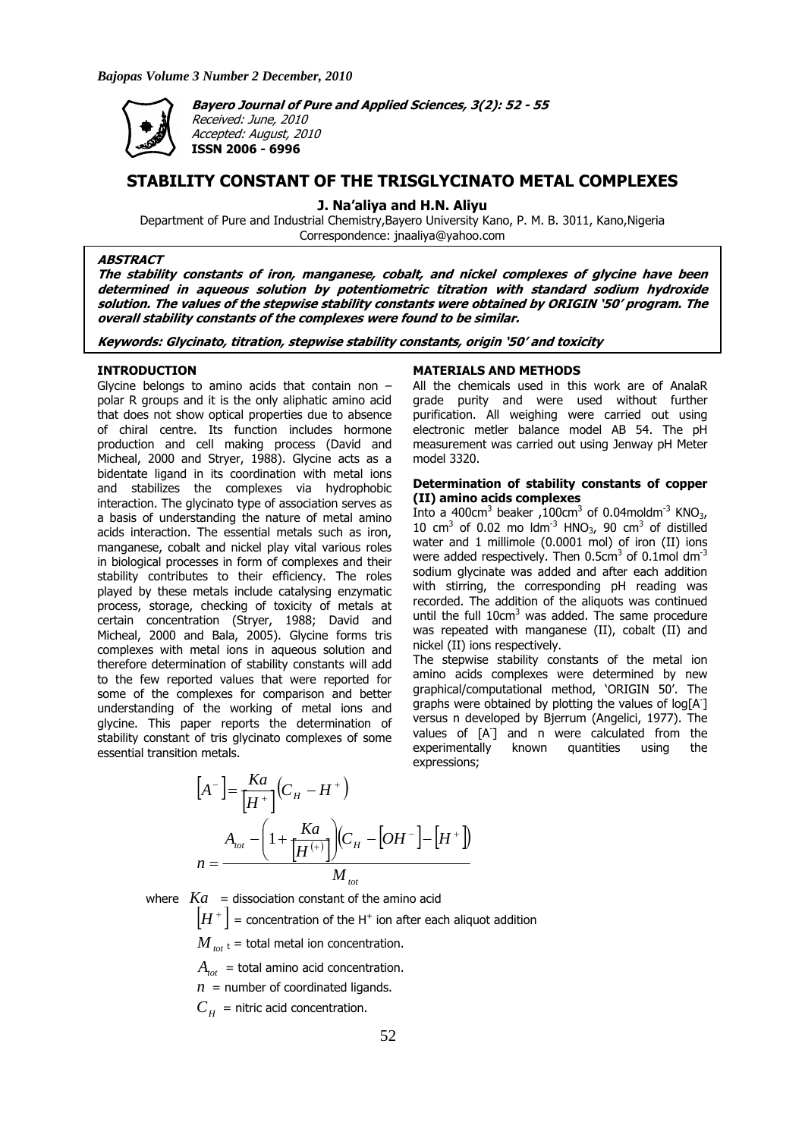

**Bayero Journal of Pure and Applied Sciences, 3(2): 52 - 55** 

Received: June, 2010 Accepted: August, 2010 **ISSN 2006 - 6996** 

# **STABILITY CONSTANT OF THE TRISGLYCINATO METAL COMPLEXES**

**J. Na'aliya and H.N. Aliyu** 

Department of Pure and Industrial Chemistry,Bayero University Kano, P. M. B. 3011, Kano,Nigeria Correspondence: jnaaliya@yahoo.com

# **ABSTRACT**

**The stability constants of iron, manganese, cobalt, and nickel complexes of glycine have been determined in aqueous solution by potentiometric titration with standard sodium hydroxide solution. The values of the stepwise stability constants were obtained by ORIGIN '50' program. The overall stability constants of the complexes were found to be similar.** 

**Keywords: Glycinato, titration, stepwise stability constants, origin '50' and toxicity** 

## **INTRODUCTION**

Glycine belongs to amino acids that contain non – polar R groups and it is the only aliphatic amino acid that does not show optical properties due to absence of chiral centre. Its function includes hormone production and cell making process (David and Micheal, 2000 and Stryer, 1988). Glycine acts as a bidentate ligand in its coordination with metal ions and stabilizes the complexes via hydrophobic interaction. The glycinato type of association serves as a basis of understanding the nature of metal amino acids interaction. The essential metals such as iron, manganese, cobalt and nickel play vital various roles in biological processes in form of complexes and their stability contributes to their efficiency. The roles played by these metals include catalysing enzymatic process, storage, checking of toxicity of metals at certain concentration (Stryer, 1988; David and Micheal, 2000 and Bala, 2005). Glycine forms tris complexes with metal ions in aqueous solution and therefore determination of stability constants will add to the few reported values that were reported for some of the complexes for comparison and better understanding of the working of metal ions and glycine. This paper reports the determination of stability constant of tris glycinato complexes of some essential transition metals.

#### **MATERIALS AND METHODS**

All the chemicals used in this work are of AnalaR grade purity and were used without further purification. All weighing were carried out using electronic metler balance model AB 54. The pH measurement was carried out using Jenway pH Meter model 3320.

## **Determination of stability constants of copper (II) amino acids complexes**

Into a 400 $cm<sup>3</sup>$  beaker, 100 $cm<sup>3</sup>$  of 0.04moldm<sup>-3</sup> KNO<sub>3</sub>, 10 cm<sup>3</sup> of 0.02 mo  $\text{Idm}^{-3}$  HNO<sub>3</sub>, 90 cm<sup>3</sup> of distilled water and 1 millimole (0.0001 mol) of iron (II) ions were added respectively. Then  $0.5cm<sup>3</sup>$  of  $0.1mol$  dm<sup>-3</sup> sodium glycinate was added and after each addition with stirring, the corresponding pH reading was recorded. The addition of the aliquots was continued until the full  $10 \text{cm}^3$  was added. The same procedure was repeated with manganese (II), cobalt (II) and nickel (II) ions respectively.

The stepwise stability constants of the metal ion amino acids complexes were determined by new graphical/computational method, 'ORIGIN 50'. The graphs were obtained by plotting the values of log[A<sup>-</sup>] versus n developed by Bjerrum (Angelici, 1977). The values of [A- ] and n were calculated from the experimentally known quantities using the expressions;

$$
[A^{-}] = \frac{Ka}{[H^{+}]}(C_{H} - H^{+})
$$
  

$$
n = \frac{A_{tot} - (1 + \frac{Ka}{[H^{(+)}]})(C_{H} - [OH^{-}] - [H^{+}])}{M_{tot}}
$$

where  $Ka =$  dissociation constant of the amino acid

 $\left[ H^{+}\right]$  = concentration of the H<sup>+</sup> ion after each aliquot addition

 $M_{tot}$  = total metal ion concentration.

 $A_{tot}$  = total amino acid concentration.

 $n =$  number of coordinated ligands.

 $C_{\mu}$  = nitric acid concentration.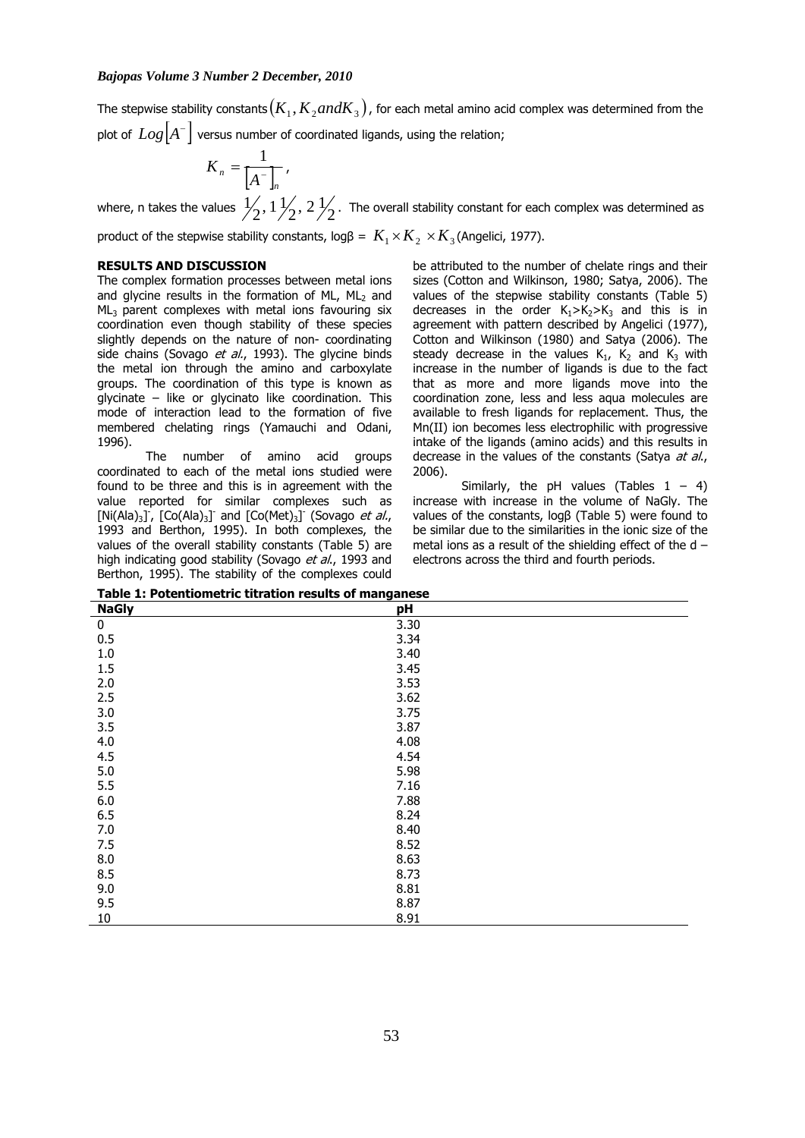The stepwise stability constants  $(K_1, K_2 and K_3)$  , for each metal amino acid complex was determined from the plot of  $\, Log\bigl[ A^- \bigr]$  versus number of coordinated ligands, using the relation;

$$
K_n = \frac{1}{\left[A^{-}\right]_n},
$$

where, n takes the values  $\frac{1}{2},$   $\frac{1}{2},$   $\frac{1}{2}$ ,  $\frac{2}{2}$  . The overall stability constant for each complex was determined as

product of the stepwise stability constants,  $\log \beta = K_1 \times K_2 \times K_3$  (Angelici, 1977).

# **RESULTS AND DISCUSSION**

The complex formation processes between metal ions and glycine results in the formation of ML,  $ML<sub>2</sub>$  and  $ML<sub>3</sub>$  parent complexes with metal ions favouring six coordination even though stability of these species slightly depends on the nature of non- coordinating side chains (Sovago et al., 1993). The glycine binds the metal ion through the amino and carboxylate groups. The coordination of this type is known as glycinate – like or glycinato like coordination. This mode of interaction lead to the formation of five membered chelating rings (Yamauchi and Odani, 1996).

 The number of amino acid groups coordinated to each of the metal ions studied were found to be three and this is in agreement with the value reported for similar complexes such as [Ni(Ala)<sub>3</sub>],  $[Co(Ala)_3]$  and  $[Co(Met)_3]$  (Sovago et al., 1993 and Berthon, 1995). In both complexes, the values of the overall stability constants (Table 5) are high indicating good stability (Sovago et al., 1993 and Berthon, 1995). The stability of the complexes could

be attributed to the number of chelate rings and their sizes (Cotton and Wilkinson, 1980; Satya, 2006). The values of the stepwise stability constants (Table 5) decreases in the order  $K_1>K_2>K_3$  and this is in agreement with pattern described by Angelici (1977), Cotton and Wilkinson (1980) and Satya (2006). The steady decrease in the values  $K_1$ ,  $K_2$  and  $K_3$  with increase in the number of ligands is due to the fact that as more and more ligands move into the coordination zone, less and less aqua molecules are available to fresh ligands for replacement. Thus, the Mn(II) ion becomes less electrophilic with progressive intake of the ligands (amino acids) and this results in decrease in the values of the constants (Satya at al., 2006).

Similarly, the pH values (Tables  $1 - 4$ ) increase with increase in the volume of NaGly. The values of the constants, logβ (Table 5) were found to be similar due to the similarities in the ionic size of the metal ions as a result of the shielding effect of the  $d$ electrons across the third and fourth periods.

| Table 1: I beentloneene the action results of manganese<br><b>NaGly</b> | pH   |
|-------------------------------------------------------------------------|------|
| $\pmb{0}$                                                               | 3.30 |
| 0.5                                                                     | 3.34 |
|                                                                         |      |
| $1.0$                                                                   | 3.40 |
| 1.5                                                                     | 3.45 |
| 2.0                                                                     | 3.53 |
| 2.5                                                                     | 3.62 |
| 3.0                                                                     | 3.75 |
| 3.5                                                                     | 3.87 |
| 4.0                                                                     | 4.08 |
| 4.5                                                                     | 4.54 |
| 5.0                                                                     | 5.98 |
| 5.5                                                                     | 7.16 |
| 6.0                                                                     | 7.88 |
| 6.5                                                                     | 8.24 |
| 7.0                                                                     | 8.40 |
| 7.5                                                                     | 8.52 |
| 8.0                                                                     | 8.63 |
| 8.5                                                                     | 8.73 |
| 9.0                                                                     | 8.81 |
| 9.5                                                                     | 8.87 |
| $10\,$                                                                  | 8.91 |

**Table 1: Potentiometric titration results of manganese**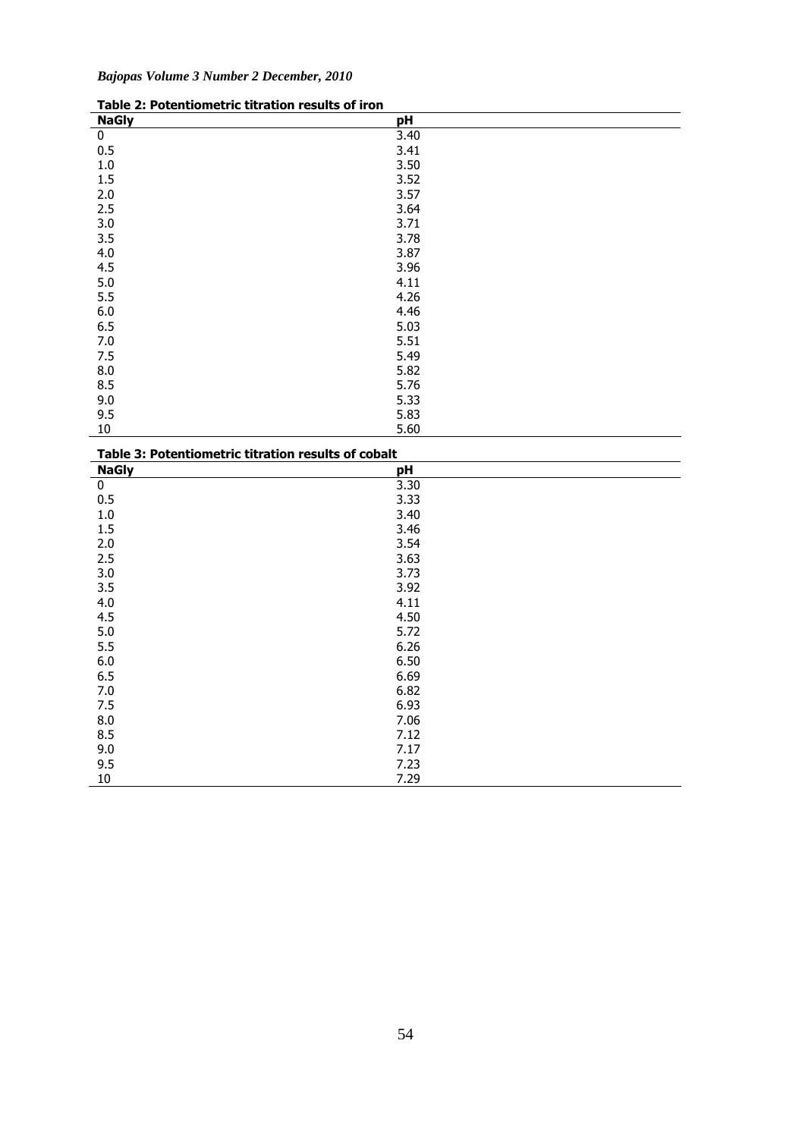|  |  | Bajopas Volume 3 Number 2 December, 2010 |  |
|--|--|------------------------------------------|--|

| Table 2. Putentionietric titration results of fion |      |
|----------------------------------------------------|------|
| <b>NaGly</b>                                       | pH   |
| $\bf{0}$                                           | 3.40 |
| 0.5                                                | 3.41 |
| $1.0\,$                                            | 3.50 |
| 1.5                                                | 3.52 |
| 2.0                                                | 3.57 |
| 2.5                                                | 3.64 |
| 3.0                                                | 3.71 |
| 3.5                                                | 3.78 |
| 4.0                                                | 3.87 |
| 4.5                                                | 3.96 |
| 5.0                                                | 4.11 |
| 5.5                                                | 4.26 |
| 6.0                                                | 4.46 |
| 6.5                                                | 5.03 |
| 7.0                                                | 5.51 |
| 7.5                                                | 5.49 |
| 8.0                                                | 5.82 |
| 8.5                                                | 5.76 |
| 9.0                                                | 5.33 |
| 9.5                                                | 5.83 |
| $10\,$                                             | 5.60 |

| Table 2: Potentiometric titration results of iron |  |
|---------------------------------------------------|--|
|---------------------------------------------------|--|

| Table 3: Potentiometric titration results of cobalt |      |  |  |  |
|-----------------------------------------------------|------|--|--|--|
| <b>NaGly</b>                                        | pH   |  |  |  |
| $\bf{0}$                                            | 3.30 |  |  |  |
| 0.5                                                 | 3.33 |  |  |  |
| $1.0$                                               | 3.40 |  |  |  |
| 1.5                                                 | 3.46 |  |  |  |
| 2.0                                                 | 3.54 |  |  |  |
| 2.5                                                 | 3.63 |  |  |  |
| 3.0                                                 | 3.73 |  |  |  |
| 3.5                                                 | 3.92 |  |  |  |
| 4.0                                                 | 4.11 |  |  |  |
| 4.5                                                 | 4.50 |  |  |  |
| 5.0                                                 | 5.72 |  |  |  |
| 5.5                                                 | 6.26 |  |  |  |
| 6.0                                                 | 6.50 |  |  |  |
| 6.5                                                 | 6.69 |  |  |  |
| 7.0                                                 | 6.82 |  |  |  |
| 7.5                                                 | 6.93 |  |  |  |
| 8.0                                                 | 7.06 |  |  |  |
| 8.5                                                 | 7.12 |  |  |  |
| 9.0                                                 | 7.17 |  |  |  |
| 9.5                                                 | 7.23 |  |  |  |
| $10\,$                                              | 7.29 |  |  |  |